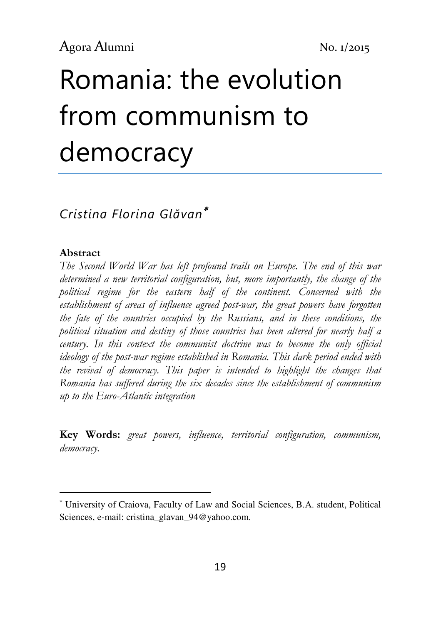# Romania: the evolution from communism to democracy

# Cristina Florina Glăvan<sup>∗</sup>

### Abstract

l

The Second World War has left profound trails on Europe. The end of this war determined a new territorial configuration, but, more importantly, the change of the political regime for the eastern half of the continent. Concerned with the establishment of areas of influence agreed post-war, the great powers have forgotten the fate of the countries occupied by the Russians, and in these conditions, the political situation and destiny of those countries has been altered for nearly half a century. In this context the communist doctrine was to become the only official ideology of the post-war regime established in Romania. This dark period ended with the revival of democracy. This paper is intended to highlight the changes that Romania has suffered during the six decades since the establishment of communism up to the Euro-Atlantic integration

Key Words: great powers, influence, territorial configuration, communism, democracy.

<sup>∗</sup> University of Craiova, Faculty of Law and Social Sciences, B.A. student, Political Sciences, e-mail: cristina\_glavan\_94@yahoo.com.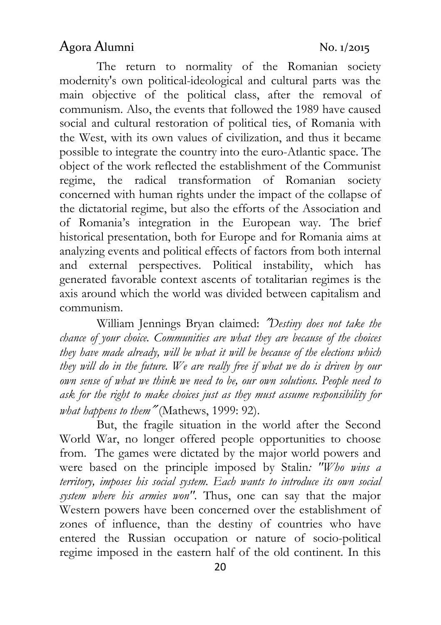The return to normality of the Romanian society modernity's own political-ideological and cultural parts was the main objective of the political class, after the removal of communism. Also, the events that followed the 1989 have caused social and cultural restoration of political ties, of Romania with the West, with its own values of civilization, and thus it became possible to integrate the country into the euro-Atlantic space. The object of the work reflected the establishment of the Communist regime, the radical transformation of Romanian society concerned with human rights under the impact of the collapse of the dictatorial regime, but also the efforts of the Association and of Romania's integration in the European way. The brief historical presentation, both for Europe and for Romania aims at analyzing events and political effects of factors from both internal and external perspectives. Political instability, which has generated favorable context ascents of totalitarian regimes is the axis around which the world was divided between capitalism and communism.

William Jennings Bryan claimed: ″Destiny does not take the chance of your choice. Communities are what they are because of the choices they have made already, will be what it will be because of the elections which they will do in the future. We are really free if what we do is driven by our own sense of what we think we need to be, our own solutions. People need to ask for the right to make choices just as they must assume responsibility for what happens to them" (Mathews, 1999: 92).

But, the fragile situation in the world after the Second World War, no longer offered people opportunities to choose from. The games were dictated by the major world powers and were based on the principle imposed by Stalin: "Who wins a territory, imposes his social system. Each wants to introduce its own social system where his armies won". Thus, one can say that the major Western powers have been concerned over the establishment of zones of influence, than the destiny of countries who have entered the Russian occupation or nature of socio-political regime imposed in the eastern half of the old continent. In this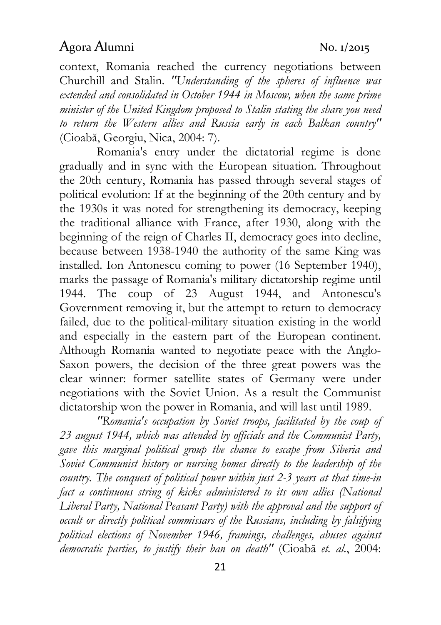context, Romania reached the currency negotiations between Churchill and Stalin. "Understanding of the spheres of influence was extended and consolidated in October 1944 in Moscow, when the same prime minister of the United Kingdom proposed to Stalin stating the share you need to return the Western allies and Russia early in each Balkan country" (Cioabă, Georgiu, Nica, 2004: 7).

Romania's entry under the dictatorial regime is done gradually and in sync with the European situation. Throughout the 20th century, Romania has passed through several stages of political evolution: If at the beginning of the 20th century and by the 1930s it was noted for strengthening its democracy, keeping the traditional alliance with France, after 1930, along with the beginning of the reign of Charles II, democracy goes into decline, because between 1938-1940 the authority of the same King was installed. Ion Antonescu coming to power (16 September 1940), marks the passage of Romania's military dictatorship regime until 1944. The coup of 23 August 1944, and Antonescu's Government removing it, but the attempt to return to democracy failed, due to the political-military situation existing in the world and especially in the eastern part of the European continent. Although Romania wanted to negotiate peace with the Anglo-Saxon powers, the decision of the three great powers was the clear winner: former satellite states of Germany were under negotiations with the Soviet Union. As a result the Communist dictatorship won the power in Romania, and will last until 1989.

"Romania's occupation by Soviet troops, facilitated by the coup of 23 august 1944, which was attended by officials and the Communist Party, gave this marginal political group the chance to escape from Siberia and Soviet Communist history or nursing homes directly to the leadership of the country. The conquest of political power within just 2-3 years at that time-in fact a continuous string of kicks administered to its own allies (National Liberal Party, National Peasant Party) with the approval and the support of occult or directly political commissars of the Russians, including by falsifying political elections of November 1946, framings, challenges, abuses against democratic parties, to justify their ban on death" (Cioabă et. al., 2004: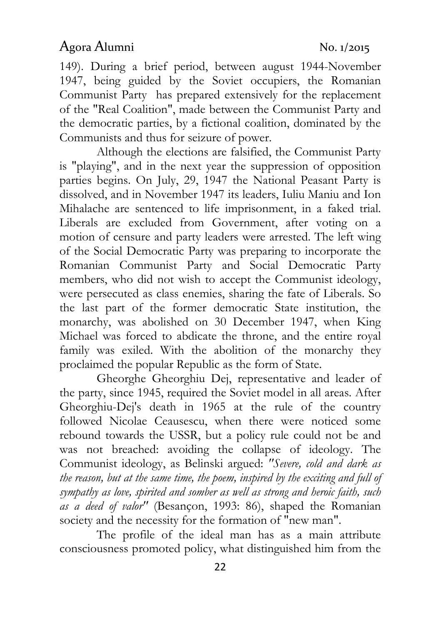149). During a brief period, between august 1944-November 1947, being guided by the Soviet occupiers, the Romanian Communist Party has prepared extensively for the replacement of the "Real Coalition", made between the Communist Party and the democratic parties, by a fictional coalition, dominated by the Communists and thus for seizure of power.

Although the elections are falsified, the Communist Party is "playing", and in the next year the suppression of opposition parties begins. On July, 29, 1947 the National Peasant Party is dissolved, and in November 1947 its leaders, Iuliu Maniu and Ion Mihalache are sentenced to life imprisonment, in a faked trial. Liberals are excluded from Government, after voting on a motion of censure and party leaders were arrested. The left wing of the Social Democratic Party was preparing to incorporate the Romanian Communist Party and Social Democratic Party members, who did not wish to accept the Communist ideology, were persecuted as class enemies, sharing the fate of Liberals. So the last part of the former democratic State institution, the monarchy, was abolished on 30 December 1947, when King Michael was forced to abdicate the throne, and the entire royal family was exiled. With the abolition of the monarchy they proclaimed the popular Republic as the form of State.

Gheorghe Gheorghiu Dej, representative and leader of the party, since 1945, required the Soviet model in all areas. After Gheorghiu-Dej's death in 1965 at the rule of the country followed Nicolae Ceausescu, when there were noticed some rebound towards the USSR, but a policy rule could not be and was not breached: avoiding the collapse of ideology. The Communist ideology, as Belinski argued: "Severe, cold and dark as the reason, but at the same time, the poem, inspired by the exciting and full of sympathy as love, spirited and somber as well as strong and heroic faith, such as a deed of valor" (Besançon, 1993: 86), shaped the Romanian society and the necessity for the formation of "new man".

The profile of the ideal man has as a main attribute consciousness promoted policy, what distinguished him from the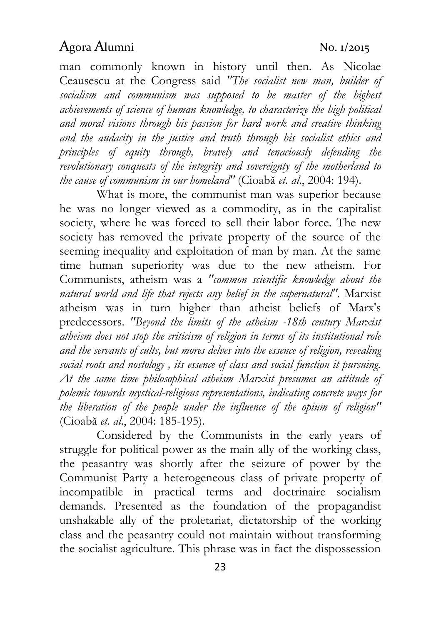man commonly known in history until then. As Nicolae Ceausescu at the Congress said "The socialist new man, builder of socialism and communism was supposed to be master of the highest achievements of science of human knowledge, to characterize the high political and moral visions through his passion for hard work and creative thinking and the audacity in the justice and truth through his socialist ethics and principles of equity through, bravely and tenaciously defending the revolutionary conquests of the integrity and sovereignty of the motherland to the cause of communism in our homeland" (Cioabă et. al., 2004: 194).

What is more, the communist man was superior because he was no longer viewed as a commodity, as in the capitalist society, where he was forced to sell their labor force. The new society has removed the private property of the source of the seeming inequality and exploitation of man by man. At the same time human superiority was due to the new atheism. For Communists, atheism was a "common scientific knowledge about the natural world and life that rejects any belief in the supernatural". Marxist atheism was in turn higher than atheist beliefs of Marx's predecessors. "Beyond the limits of the atheism -18th century Marxist atheism does not stop the criticism of religion in terms of its institutional role and the servants of cults, but mores delves into the essence of religion, revealing social roots and nostology , its essence of class and social function it pursuing. At the same time philosophical atheism Marxist presumes an attitude of polemic towards mystical-religious representations, indicating concrete ways for the liberation of the people under the influence of the opium of religion" (Cioabă et. al., 2004: 185-195).

Considered by the Communists in the early years of struggle for political power as the main ally of the working class, the peasantry was shortly after the seizure of power by the Communist Party a heterogeneous class of private property of incompatible in practical terms and doctrinaire socialism demands. Presented as the foundation of the propagandist unshakable ally of the proletariat, dictatorship of the working class and the peasantry could not maintain without transforming the socialist agriculture. This phrase was in fact the dispossession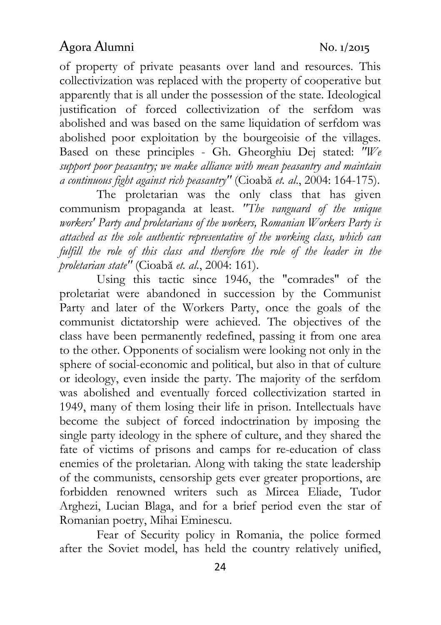of property of private peasants over land and resources. This collectivization was replaced with the property of cooperative but apparently that is all under the possession of the state. Ideological justification of forced collectivization of the serfdom was abolished and was based on the same liquidation of serfdom was abolished poor exploitation by the bourgeoisie of the villages. Based on these principles - Gh. Gheorghiu Dej stated: "We support poor peasantry; we make alliance with mean peasantry and maintain a continuous fight against rich peasantry" (Cioabă et. al., 2004: 164-175).

The proletarian was the only class that has given communism propaganda at least. "The vanguard of the unique workers' Party and proletarians of the workers, Romanian Workers Party is attached as the sole authentic representative of the working class, which can fulfill the role of this class and therefore the role of the leader in the proletarian state" (Cioabă et. al., 2004: 161).

Using this tactic since 1946, the "comrades" of the proletariat were abandoned in succession by the Communist Party and later of the Workers Party, once the goals of the communist dictatorship were achieved. The objectives of the class have been permanently redefined, passing it from one area to the other. Opponents of socialism were looking not only in the sphere of social-economic and political, but also in that of culture or ideology, even inside the party. The majority of the serfdom was abolished and eventually forced collectivization started in 1949, many of them losing their life in prison. Intellectuals have become the subject of forced indoctrination by imposing the single party ideology in the sphere of culture, and they shared the fate of victims of prisons and camps for re-education of class enemies of the proletarian. Along with taking the state leadership of the communists, censorship gets ever greater proportions, are forbidden renowned writers such as Mircea Eliade, Tudor Arghezi, Lucian Blaga, and for a brief period even the star of Romanian poetry, Mihai Eminescu.

Fear of Security policy in Romania, the police formed after the Soviet model, has held the country relatively unified,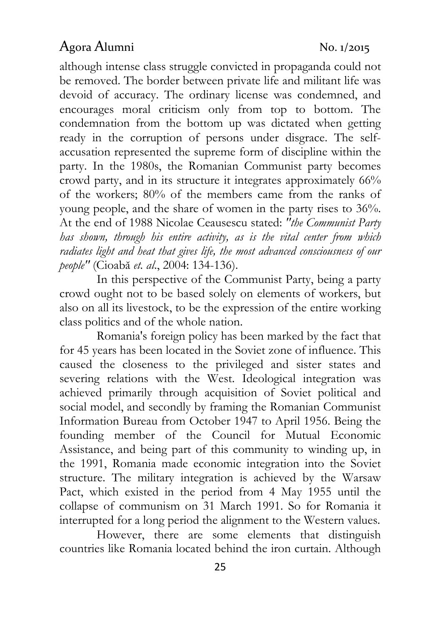although intense class struggle convicted in propaganda could not be removed. The border between private life and militant life was devoid of accuracy. The ordinary license was condemned, and encourages moral criticism only from top to bottom. The condemnation from the bottom up was dictated when getting ready in the corruption of persons under disgrace. The selfaccusation represented the supreme form of discipline within the party. In the 1980s, the Romanian Communist party becomes crowd party, and in its structure it integrates approximately 66% of the workers; 80% of the members came from the ranks of young people, and the share of women in the party rises to 36%. At the end of 1988 Nicolae Ceausescu stated: "the Communist Party has shown, through his entire activity, as is the vital center from which radiates light and heat that gives life, the most advanced consciousness of our people" (Cioabă et. al., 2004: 134-136).

In this perspective of the Communist Party, being a party crowd ought not to be based solely on elements of workers, but also on all its livestock, to be the expression of the entire working class politics and of the whole nation.

Romania's foreign policy has been marked by the fact that for 45 years has been located in the Soviet zone of influence. This caused the closeness to the privileged and sister states and severing relations with the West. Ideological integration was achieved primarily through acquisition of Soviet political and social model, and secondly by framing the Romanian Communist Information Bureau from October 1947 to April 1956. Being the founding member of the Council for Mutual Economic Assistance, and being part of this community to winding up, in the 1991, Romania made economic integration into the Soviet structure. The military integration is achieved by the Warsaw Pact, which existed in the period from 4 May 1955 until the collapse of communism on 31 March 1991. So for Romania it interrupted for a long period the alignment to the Western values.

However, there are some elements that distinguish countries like Romania located behind the iron curtain. Although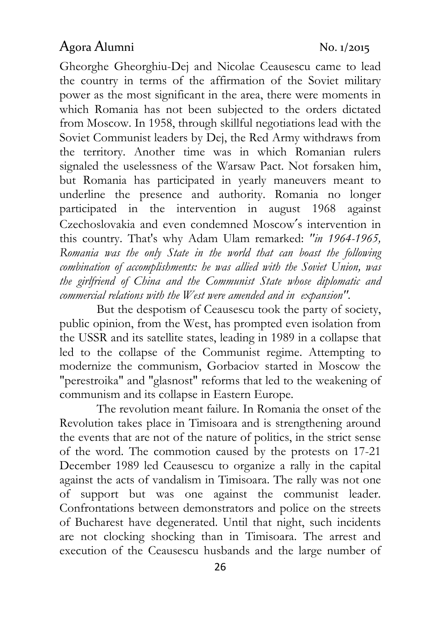Gheorghe Gheorghiu-Dej and Nicolae Ceausescu came to lead the country in terms of the affirmation of the Soviet military power as the most significant in the area, there were moments in which Romania has not been subjected to the orders dictated from Moscow. In 1958, through skillful negotiations lead with the Soviet Communist leaders by Dej, the Red Army withdraws from the territory. Another time was in which Romanian rulers signaled the uselessness of the Warsaw Pact. Not forsaken him, but Romania has participated in yearly maneuvers meant to underline the presence and authority. Romania no longer participated in the intervention in august 1968 against Czechoslovakia and even condemned Moscow′s intervention in this country. That's why Adam Ulam remarked: "in 1964-1965, Romania was the only State in the world that can boast the following combination of accomplishments: he was allied with the Soviet Union, was the girlfriend of China and the Communist State whose diplomatic and commercial relations with the West were amended and in expansion".

But the despotism of Ceausescu took the party of society, public opinion, from the West, has prompted even isolation from the USSR and its satellite states, leading in 1989 in a collapse that led to the collapse of the Communist regime. Attempting to modernize the communism, Gorbaciov started in Moscow the "perestroika" and "glasnost" reforms that led to the weakening of communism and its collapse in Eastern Europe.

The revolution meant failure. In Romania the onset of the Revolution takes place in Timisoara and is strengthening around the events that are not of the nature of politics, in the strict sense of the word. The commotion caused by the protests on 17-21 December 1989 led Ceausescu to organize a rally in the capital against the acts of vandalism in Timisoara. The rally was not one of support but was one against the communist leader. Confrontations between demonstrators and police on the streets of Bucharest have degenerated. Until that night, such incidents are not clocking shocking than in Timisoara. The arrest and execution of the Ceausescu husbands and the large number of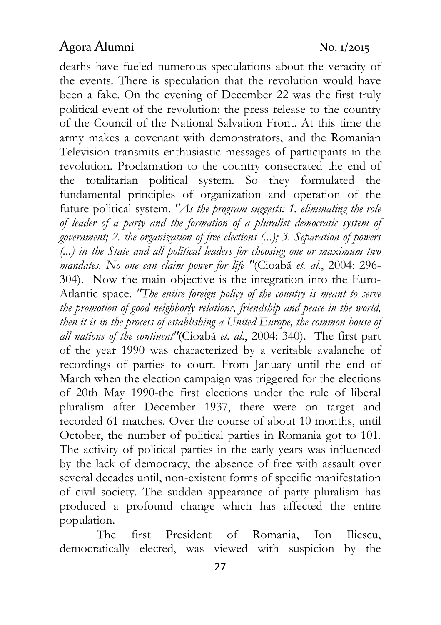deaths have fueled numerous speculations about the veracity of the events. There is speculation that the revolution would have been a fake. On the evening of December 22 was the first truly political event of the revolution: the press release to the country of the Council of the National Salvation Front. At this time the army makes a covenant with demonstrators, and the Romanian Television transmits enthusiastic messages of participants in the revolution. Proclamation to the country consecrated the end of the totalitarian political system. So they formulated the fundamental principles of organization and operation of the future political system. "As the program suggests: 1. eliminating the role of leader of a party and the formation of a pluralist democratic system of government; 2. the organization of free elections (...); 3. Separation of powers (...) in the State and all political leaders for choosing one or maximum two mandates. No one can claim power for life "(Cioabă et. al., 2004: 296- 304). Now the main objective is the integration into the Euro-Atlantic space. "The entire foreign policy of the country is meant to serve the promotion of good neighborly relations, friendship and peace in the world, then it is in the process of establishing a United Europe, the common house of all nations of the continent"(Cioabă et. al., 2004: 340). The first part of the year 1990 was characterized by a veritable avalanche of recordings of parties to court. From January until the end of March when the election campaign was triggered for the elections of 20th May 1990-the first elections under the rule of liberal pluralism after December 1937, there were on target and recorded 61 matches. Over the course of about 10 months, until October, the number of political parties in Romania got to 101. The activity of political parties in the early years was influenced by the lack of democracy, the absence of free with assault over several decades until, non-existent forms of specific manifestation of civil society. The sudden appearance of party pluralism has produced a profound change which has affected the entire population.

The first President of Romania, Ion Iliescu, democratically elected, was viewed with suspicion by the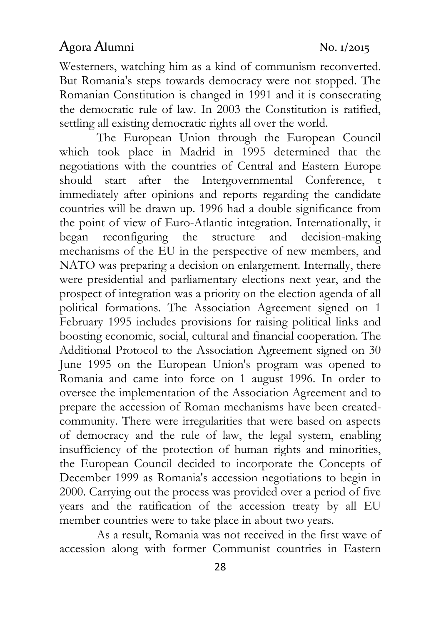Westerners, watching him as a kind of communism reconverted. But Romania's steps towards democracy were not stopped. The Romanian Constitution is changed in 1991 and it is consecrating the democratic rule of law. In 2003 the Constitution is ratified, settling all existing democratic rights all over the world.

The European Union through the European Council which took place in Madrid in 1995 determined that the negotiations with the countries of Central and Eastern Europe should start after the Intergovernmental Conference, t immediately after opinions and reports regarding the candidate countries will be drawn up. 1996 had a double significance from the point of view of Euro-Atlantic integration. Internationally, it began reconfiguring the structure and decision-making mechanisms of the EU in the perspective of new members, and NATO was preparing a decision on enlargement. Internally, there were presidential and parliamentary elections next year, and the prospect of integration was a priority on the election agenda of all political formations. The Association Agreement signed on 1 February 1995 includes provisions for raising political links and boosting economic, social, cultural and financial cooperation. The Additional Protocol to the Association Agreement signed on 30 June 1995 on the European Union's program was opened to Romania and came into force on 1 august 1996. In order to oversee the implementation of the Association Agreement and to prepare the accession of Roman mechanisms have been createdcommunity. There were irregularities that were based on aspects of democracy and the rule of law, the legal system, enabling insufficiency of the protection of human rights and minorities, the European Council decided to incorporate the Concepts of December 1999 as Romania's accession negotiations to begin in 2000. Carrying out the process was provided over a period of five years and the ratification of the accession treaty by all EU member countries were to take place in about two years.

As a result, Romania was not received in the first wave of accession along with former Communist countries in Eastern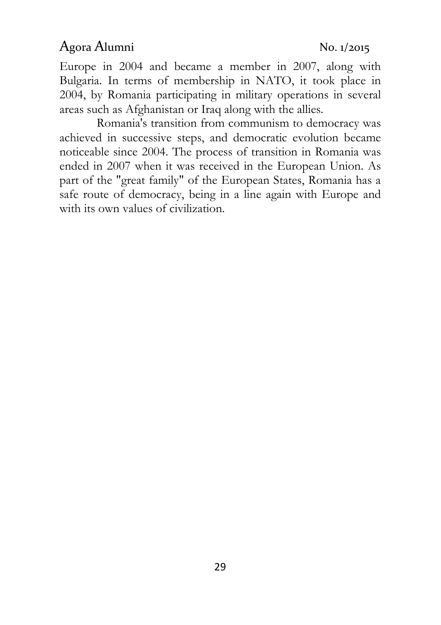Europe in 2004 and became a member in 2007, along with Bulgaria. In terms of membership in NATO, it took place in 2004, by Romania participating in military operations in several areas such as Afghanistan or Iraq along with the allies.

Romania's transition from communism to democracy was achieved in successive steps, and democratic evolution became noticeable since 2004. The process of transition in Romania was ended in 2007 when it was received in the European Union. As part of the "great family" of the European States, Romania has a safe route of democracy, being in a line again with Europe and with its own values of civilization.